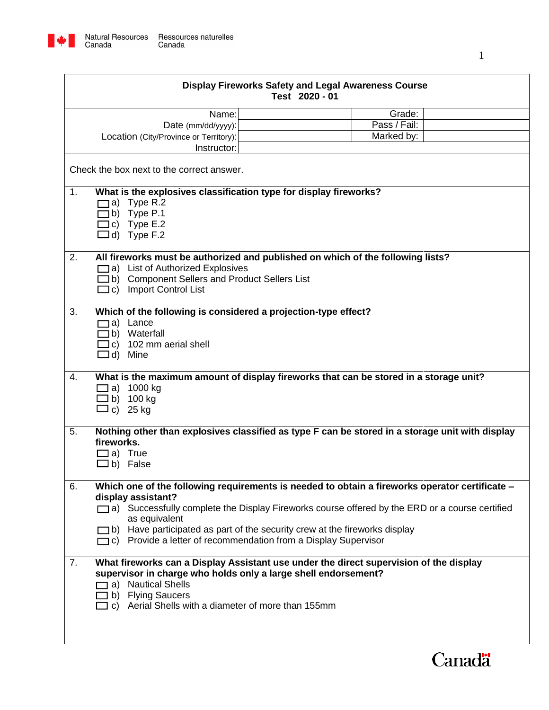

| <b>Display Fireworks Safety and Legal Awareness Course</b><br>Test 2020 - 01                         |                                                                                                 |                                                                                                |        |  |
|------------------------------------------------------------------------------------------------------|-------------------------------------------------------------------------------------------------|------------------------------------------------------------------------------------------------|--------|--|
|                                                                                                      | Name:                                                                                           |                                                                                                | Grade: |  |
|                                                                                                      | Date (mm/dd/yyyy):                                                                              | Pass / Fail:                                                                                   |        |  |
|                                                                                                      | Location (City/Province or Territory):                                                          | Marked by:                                                                                     |        |  |
|                                                                                                      | Instructor:                                                                                     |                                                                                                |        |  |
| Check the box next to the correct answer.                                                            |                                                                                                 |                                                                                                |        |  |
| 1.                                                                                                   | What is the explosives classification type for display fireworks?                               |                                                                                                |        |  |
|                                                                                                      | a) Type R.2                                                                                     |                                                                                                |        |  |
|                                                                                                      | b) Type P.1                                                                                     |                                                                                                |        |  |
|                                                                                                      | c) Type $E.2$                                                                                   |                                                                                                |        |  |
|                                                                                                      | $\Box$ d) Type F.2                                                                              |                                                                                                |        |  |
|                                                                                                      |                                                                                                 |                                                                                                |        |  |
| 2.                                                                                                   | All fireworks must be authorized and published on which of the following lists?                 |                                                                                                |        |  |
|                                                                                                      | a) List of Authorized Explosives<br>b) Component Sellers and Product Sellers List               |                                                                                                |        |  |
|                                                                                                      | $\Box$ c) Import Control List                                                                   |                                                                                                |        |  |
|                                                                                                      |                                                                                                 |                                                                                                |        |  |
| 3.                                                                                                   | Which of the following is considered a projection-type effect?                                  |                                                                                                |        |  |
|                                                                                                      | a) Lance                                                                                        |                                                                                                |        |  |
|                                                                                                      | b) Waterfall                                                                                    |                                                                                                |        |  |
|                                                                                                      | $\exists$ c) 102 mm aerial shell                                                                |                                                                                                |        |  |
|                                                                                                      | $\Box$ d) Mine                                                                                  |                                                                                                |        |  |
|                                                                                                      |                                                                                                 |                                                                                                |        |  |
| 4.                                                                                                   |                                                                                                 | What is the maximum amount of display fireworks that can be stored in a storage unit?          |        |  |
|                                                                                                      | $\Box$ a) 1000 kg                                                                               |                                                                                                |        |  |
|                                                                                                      | $\Box$ b) 100 kg                                                                                |                                                                                                |        |  |
|                                                                                                      | $\Box$ c) 25 kg                                                                                 |                                                                                                |        |  |
|                                                                                                      |                                                                                                 |                                                                                                |        |  |
| 5.                                                                                                   | Nothing other than explosives classified as type F can be stored in a storage unit with display |                                                                                                |        |  |
|                                                                                                      | fireworks.                                                                                      |                                                                                                |        |  |
|                                                                                                      | $\Box$ a) True                                                                                  |                                                                                                |        |  |
|                                                                                                      | $\Box$ b) False                                                                                 |                                                                                                |        |  |
| Which one of the following requirements is needed to obtain a fireworks operator certificate -<br>6. |                                                                                                 |                                                                                                |        |  |
|                                                                                                      | display assistant?                                                                              |                                                                                                |        |  |
|                                                                                                      |                                                                                                 | a) Successfully complete the Display Fireworks course offered by the ERD or a course certified |        |  |
|                                                                                                      | as equivalent                                                                                   |                                                                                                |        |  |
|                                                                                                      |                                                                                                 | $\Box$ b) Have participated as part of the security crew at the fireworks display              |        |  |
|                                                                                                      |                                                                                                 | $\Box$ c) Provide a letter of recommendation from a Display Supervisor                         |        |  |
|                                                                                                      |                                                                                                 |                                                                                                |        |  |
| 7.                                                                                                   |                                                                                                 | What fireworks can a Display Assistant use under the direct supervision of the display         |        |  |
|                                                                                                      | supervisor in charge who holds only a large shell endorsement?                                  |                                                                                                |        |  |
|                                                                                                      | a) Nautical Shells                                                                              |                                                                                                |        |  |
|                                                                                                      | b) Flying Saucers                                                                               |                                                                                                |        |  |
|                                                                                                      | c) Aerial Shells with a diameter of more than 155mm                                             |                                                                                                |        |  |
|                                                                                                      |                                                                                                 |                                                                                                |        |  |
|                                                                                                      |                                                                                                 |                                                                                                |        |  |
|                                                                                                      |                                                                                                 |                                                                                                |        |  |